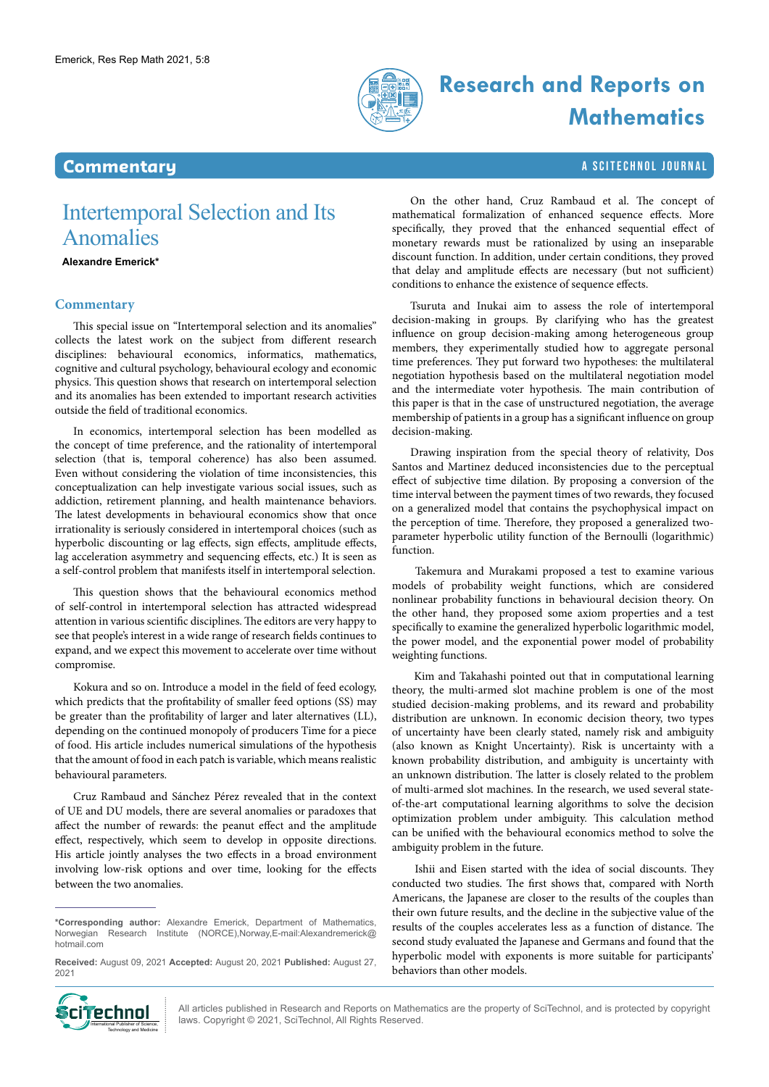

# **Research and Reports on Mathematics**

### **Commentary Commentary a** SCITECHNOL JOURNAL

## Intertemporal Selection and Its Anomalies

**Alexandre Emerick\***

### **Commentary**

This special issue on "Intertemporal selection and its anomalies" collects the latest work on the subject from different research disciplines: behavioural economics, informatics, mathematics, cognitive and cultural psychology, behavioural ecology and economic physics. This question shows that research on intertemporal selection and its anomalies has been extended to important research activities outside the field of traditional economics.

In economics, intertemporal selection has been modelled as the concept of time preference, and the rationality of intertemporal selection (that is, temporal coherence) has also been assumed. Even without considering the violation of time inconsistencies, this conceptualization can help investigate various social issues, such as addiction, retirement planning, and health maintenance behaviors. The latest developments in behavioural economics show that once irrationality is seriously considered in intertemporal choices (such as hyperbolic discounting or lag effects, sign effects, amplitude effects, lag acceleration asymmetry and sequencing effects, etc.) It is seen as a self-control problem that manifests itself in intertemporal selection.

This question shows that the behavioural economics method of self-control in intertemporal selection has attracted widespread attention in various scientific disciplines. The editors are very happy to see that people's interest in a wide range of research fields continues to expand, and we expect this movement to accelerate over time without compromise.

Kokura and so on. Introduce a model in the field of feed ecology, which predicts that the profitability of smaller feed options (SS) may be greater than the profitability of larger and later alternatives (LL), depending on the continued monopoly of producers Time for a piece of food. His article includes numerical simulations of the hypothesis that the amount of food in each patch is variable, which means realistic behavioural parameters.

Cruz Rambaud and Sánchez Pérez revealed that in the context of UE and DU models, there are several anomalies or paradoxes that affect the number of rewards: the peanut effect and the amplitude effect, respectively, which seem to develop in opposite directions. His article jointly analyses the two effects in a broad environment involving low-risk options and over time, looking for the effects between the two anomalies.

**Received:** August 09, 2021 **Accepted:** August 20, 2021 **Published:** August 27, 2021



On the other hand, Cruz Rambaud et al. The concept of mathematical formalization of enhanced sequence effects. More specifically, they proved that the enhanced sequential effect of monetary rewards must be rationalized by using an inseparable discount function. In addition, under certain conditions, they proved that delay and amplitude effects are necessary (but not sufficient) conditions to enhance the existence of sequence effects.

Tsuruta and Inukai aim to assess the role of intertemporal decision-making in groups. By clarifying who has the greatest influence on group decision-making among heterogeneous group members, they experimentally studied how to aggregate personal time preferences. They put forward two hypotheses: the multilateral negotiation hypothesis based on the multilateral negotiation model and the intermediate voter hypothesis. The main contribution of this paper is that in the case of unstructured negotiation, the average membership of patients in a group has a significant influence on group decision-making.

Drawing inspiration from the special theory of relativity, Dos Santos and Martinez deduced inconsistencies due to the perceptual effect of subjective time dilation. By proposing a conversion of the time interval between the payment times of two rewards, they focused on a generalized model that contains the psychophysical impact on the perception of time. Therefore, they proposed a generalized twoparameter hyperbolic utility function of the Bernoulli (logarithmic) function.

 Takemura and Murakami proposed a test to examine various models of probability weight functions, which are considered nonlinear probability functions in behavioural decision theory. On the other hand, they proposed some axiom properties and a test specifically to examine the generalized hyperbolic logarithmic model, the power model, and the exponential power model of probability weighting functions.

 Kim and Takahashi pointed out that in computational learning theory, the multi-armed slot machine problem is one of the most studied decision-making problems, and its reward and probability distribution are unknown. In economic decision theory, two types of uncertainty have been clearly stated, namely risk and ambiguity (also known as Knight Uncertainty). Risk is uncertainty with a known probability distribution, and ambiguity is uncertainty with an unknown distribution. The latter is closely related to the problem of multi-armed slot machines. In the research, we used several stateof-the-art computational learning algorithms to solve the decision optimization problem under ambiguity. This calculation method can be unified with the behavioural economics method to solve the ambiguity problem in the future.

 Ishii and Eisen started with the idea of social discounts. They conducted two studies. The first shows that, compared with North Americans, the Japanese are closer to the results of the couples than their own future results, and the decline in the subjective value of the results of the couples accelerates less as a function of distance. The second study evaluated the Japanese and Germans and found that the hyperbolic model with exponents is more suitable for participants' behaviors than other models.

All articles published in Research and Reports on Mathematics are the property of SciTechnol, and is protected by copyright **LECHNOL** All articles published in Research and Reports on Mather<br>International Publisher Schopyright © 2021, SciTechnol, All Rights Reserved.

**<sup>\*</sup>Corresponding author:** Alexandre Emerick, Department of Mathematics, Norwegian Research Institute (NORCE),Norway,E-mail:Alexandremerick@ hotmail.com